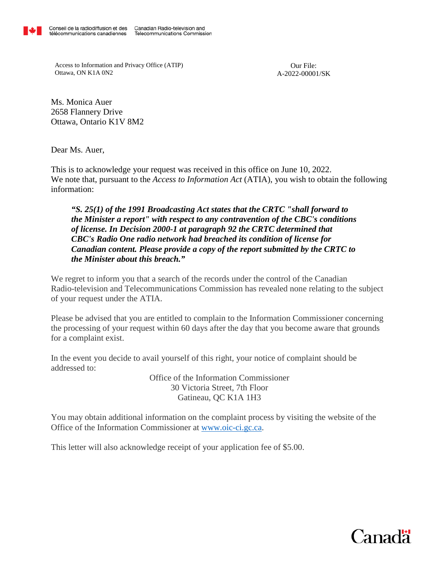

Access to Information and Privacy Office (ATIP) Ottawa, ON K1A 0N2

Our File: A-2022-00001/SK

Ms. Monica Auer 2658 Flannery Drive Ottawa, Ontario K1V 8M2

Dear Ms. Auer,

This is to acknowledge your request was received in this office on June 10, 2022. We note that, pursuant to the *Access to Information Act* (ATIA), you wish to obtain the following information:

## *"S. 25(1) of the 1991 Broadcasting Act states that the CRTC "shall forward to the Minister a report" with respect to any contravention of the CBC's conditions of license. In Decision 2000-1 at paragraph 92 the CRTC determined that CBC's Radio One radio network had breached its condition of license for Canadian content. Please provide a copy of the report submitted by the CRTC to the Minister about this breach."*

We regret to inform you that a search of the records under the control of the Canadian Radio-television and Telecommunications Commission has revealed none relating to the subject of your request under the ATIA.

Please be advised that you are entitled to complain to the Information Commissioner concerning the processing of your request within 60 days after the day that you become aware that grounds for a complaint exist.

In the event you decide to avail yourself of this right, your notice of complaint should be addressed to:

> Office of the Information Commissioner 30 Victoria Street, 7th Floor Gatineau, QC K1A 1H3

You may obtain additional information on the complaint process by visiting the website of the Office of the Information Commissioner at [www.oic-ci.gc.ca.](http://www.oic-ci.gc.ca/)

This letter will also acknowledge receipt of your application fee of \$5.00.